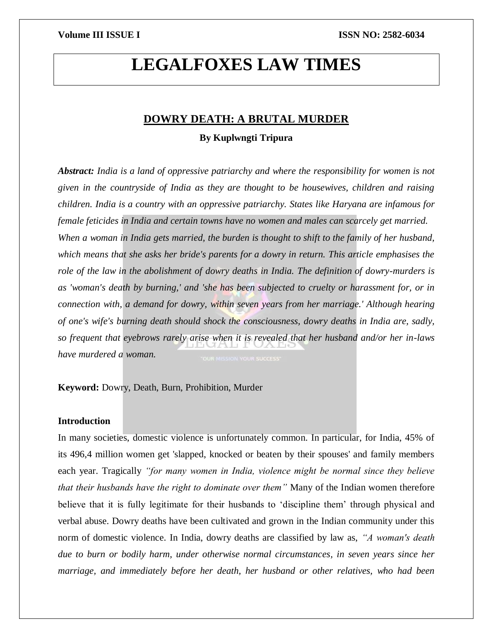# **LEGALFOXES LAW TIMES**

# **DOWRY DEATH: A BRUTAL MURDER**

# **By Kuplwngti Tripura**

*Abstract: India is a land of oppressive patriarchy and where the responsibility for women is not given in the countryside of India as they are thought to be housewives, children and raising children. India is a country with an oppressive patriarchy. States like Haryana are infamous for female feticides in India and certain towns have no women and males can scarcely get married. When a woman in India gets married, the burden is thought to shift to the family of her husband, which means that she asks her bride's parents for a dowry in return. This article emphasises the role of the law in the abolishment of dowry deaths in India. The definition of dowry-murders is as 'woman's death by burning,' and 'she has been subjected to cruelty or harassment for, or in connection with, a demand for dowry, within seven years from her marriage.' Although hearing of one's wife's burning death should shock the consciousness, dowry deaths in India are, sadly, so frequent that eyebrows rarely arise when it is revealed that her husband and/or her in-laws have murdered a woman.*

**Keyword:** Dowry, Death, Burn, Prohibition, Murder

# **Introduction**

In many societies, domestic violence is unfortunately common. In particular, for India, 45% of its 496,4 million women get 'slapped, knocked or beaten by their spouses' and family members each year. Tragically *"for many women in India, violence might be normal since they believe that their husbands have the right to dominate over them"* Many of the Indian women therefore believe that it is fully legitimate for their husbands to 'discipline them' through physical and verbal abuse. Dowry deaths have been cultivated and grown in the Indian community under this norm of domestic violence. In India, dowry deaths are classified by law as, *"A woman's death due to burn or bodily harm, under otherwise normal circumstances, in seven years since her marriage, and immediately before her death, her husband or other relatives, who had been*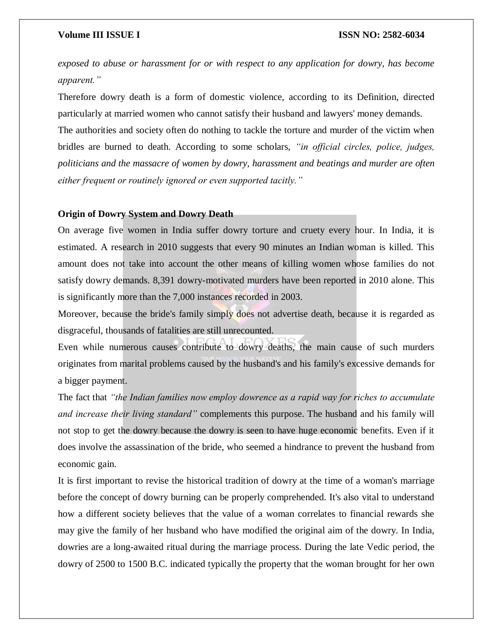*exposed to abuse or harassment for or with respect to any application for dowry, has become apparent."*

Therefore dowry death is a form of domestic violence, according to its Definition, directed particularly at married women who cannot satisfy their husband and lawyers' money demands.

The authorities and society often do nothing to tackle the torture and murder of the victim when bridles are burned to death. According to some scholars, *"in official circles, police, judges, politicians and the massacre of women by dowry, harassment and beatings and murder are often either frequent or routinely ignored or even supported tacitly."*

### **Origin of Dowry System and Dowry Death**

On average five women in India suffer dowry torture and cruety every hour. In India, it is estimated. A research in 2010 suggests that every 90 minutes an Indian woman is killed. This amount does not take into account the other means of killing women whose families do not satisfy dowry demands. 8,391 dowry-motivated murders have been reported in 2010 alone. This is significantly more than the 7,000 instances recorded in 2003.

Moreover, because the bride's family simply does not advertise death, because it is regarded as disgraceful, thousands of fatalities are still unrecounted.

Even while numerous causes contribute to dowry deaths, the main cause of such murders originates from marital problems caused by the husband's and his family's excessive demands for a bigger payment.

The fact that *"the Indian families now employ dowrence as a rapid way for riches to accumulate and increase their living standard"* complements this purpose. The husband and his family will not stop to get the dowry because the dowry is seen to have huge economic benefits. Even if it does involve the assassination of the bride, who seemed a hindrance to prevent the husband from economic gain.

It is first important to revise the historical tradition of dowry at the time of a woman's marriage before the concept of dowry burning can be properly comprehended. It's also vital to understand how a different society believes that the value of a woman correlates to financial rewards she may give the family of her husband who have modified the original aim of the dowry. In India, dowries are a long-awaited ritual during the marriage process. During the late Vedic period, the dowry of 2500 to 1500 B.C. indicated typically the property that the woman brought for her own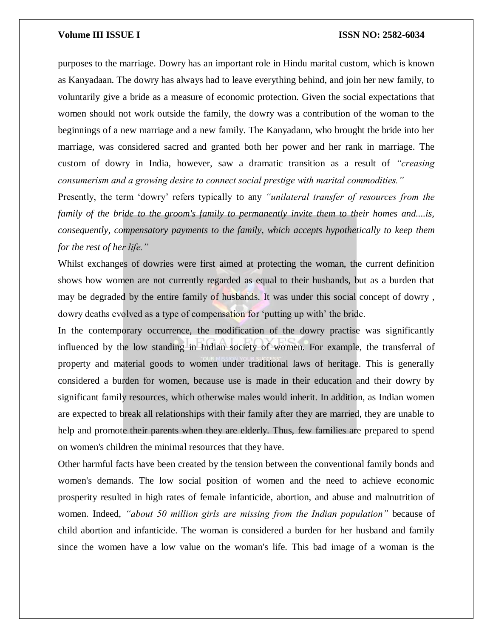purposes to the marriage. Dowry has an important role in Hindu marital custom, which is known as Kanyadaan. The dowry has always had to leave everything behind, and join her new family, to voluntarily give a bride as a measure of economic protection. Given the social expectations that women should not work outside the family, the dowry was a contribution of the woman to the beginnings of a new marriage and a new family. The Kanyadann, who brought the bride into her marriage, was considered sacred and granted both her power and her rank in marriage. The custom of dowry in India, however, saw a dramatic transition as a result of *"creasing consumerism and a growing desire to connect social prestige with marital commodities."*

Presently, the term 'dowry' refers typically to any *"unilateral transfer of resources from the family of the bride to the groom's family to permanently invite them to their homes and....is, consequently, compensatory payments to the family, which accepts hypothetically to keep them for the rest of her life."*

Whilst exchanges of dowries were first aimed at protecting the woman, the current definition shows how women are not currently regarded as equal to their husbands, but as a burden that may be degraded by the entire family of husbands. It was under this social concept of dowry , dowry deaths evolved as a type of compensation for 'putting up with' the bride.

In the contemporary occurrence, the modification of the dowry practise was significantly influenced by the low standing in Indian society of women. For example, the transferral of property and material goods to women under traditional laws of heritage. This is generally considered a burden for women, because use is made in their education and their dowry by significant family resources, which otherwise males would inherit. In addition, as Indian women are expected to break all relationships with their family after they are married, they are unable to help and promote their parents when they are elderly. Thus, few families are prepared to spend on women's children the minimal resources that they have.

Other harmful facts have been created by the tension between the conventional family bonds and women's demands. The low social position of women and the need to achieve economic prosperity resulted in high rates of female infanticide, abortion, and abuse and malnutrition of women. Indeed, *"about 50 million girls are missing from the Indian population"* because of child abortion and infanticide. The woman is considered a burden for her husband and family since the women have a low value on the woman's life. This bad image of a woman is the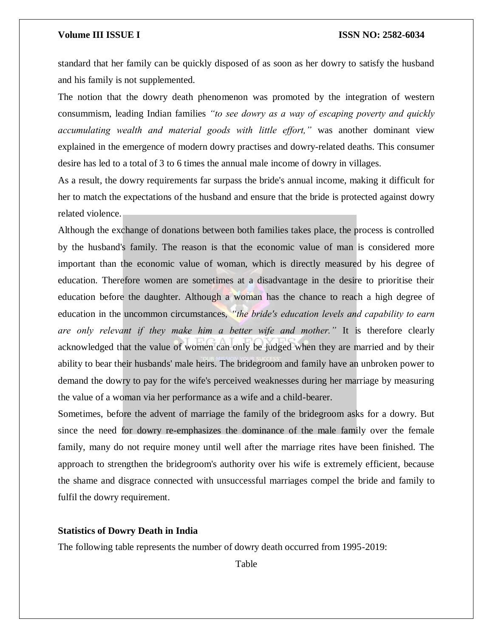standard that her family can be quickly disposed of as soon as her dowry to satisfy the husband and his family is not supplemented.

The notion that the dowry death phenomenon was promoted by the integration of western consummism, leading Indian families *"to see dowry as a way of escaping poverty and quickly accumulating wealth and material goods with little effort,"* was another dominant view explained in the emergence of modern dowry practises and dowry-related deaths. This consumer desire has led to a total of 3 to 6 times the annual male income of dowry in villages.

As a result, the dowry requirements far surpass the bride's annual income, making it difficult for her to match the expectations of the husband and ensure that the bride is protected against dowry related violence.

Although the exchange of donations between both families takes place, the process is controlled by the husband's family. The reason is that the economic value of man is considered more important than the economic value of woman, which is directly measured by his degree of education. Therefore women are sometimes at a disadvantage in the desire to prioritise their education before the daughter. Although a woman has the chance to reach a high degree of education in the uncommon circumstances, *"the bride's education levels and capability to earn are only relevant if they make him a better wife and mother."* It is therefore clearly acknowledged that the value of women can only be judged when they are married and by their ability to bear their husbands' male heirs. The bridegroom and family have an unbroken power to demand the dowry to pay for the wife's perceived weaknesses during her marriage by measuring the value of a woman via her performance as a wife and a child-bearer.

Sometimes, before the advent of marriage the family of the bridegroom asks for a dowry. But since the need for dowry re-emphasizes the dominance of the male family over the female family, many do not require money until well after the marriage rites have been finished. The approach to strengthen the bridegroom's authority over his wife is extremely efficient, because the shame and disgrace connected with unsuccessful marriages compel the bride and family to fulfil the dowry requirement.

### **Statistics of Dowry Death in India**

The following table represents the number of dowry death occurred from 1995-2019:

Table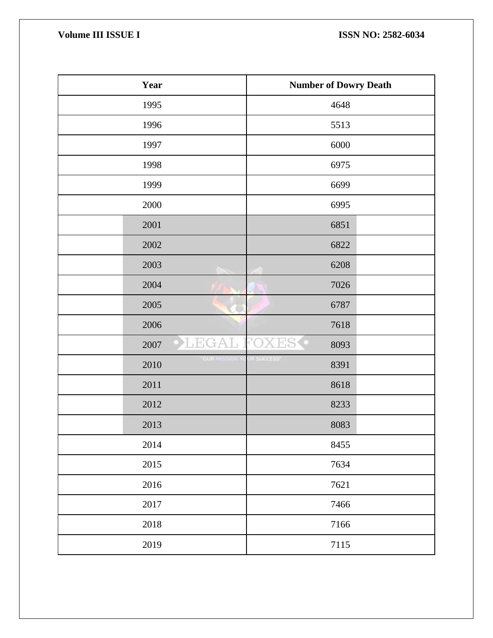| Year                       | <b>Number of Dowry Death</b> |
|----------------------------|------------------------------|
| 1995                       | 4648                         |
| 1996                       | 5513                         |
| 1997                       | 6000                         |
| 1998                       | 6975                         |
| 1999                       | 6699                         |
| 2000                       | 6995                         |
| 2001                       | 6851                         |
| 2002                       | 6822                         |
| 2003                       | 6208                         |
| 2004                       | 7026                         |
| 2005                       | 6787                         |
| 2006                       | 7618                         |
| L EG.<br>2007              | 8093                         |
| <b>OUR MISSION</b><br>2010 | <b>R SUCCESS</b><br>8391     |
| 2011                       | 8618                         |
| 2012                       | 8233                         |
| 2013                       | 8083                         |
| 2014                       | 8455                         |
| 2015                       | 7634                         |
| 2016                       | 7621                         |
| 2017                       | 7466                         |
| 2018                       | 7166                         |
| 2019                       | 7115                         |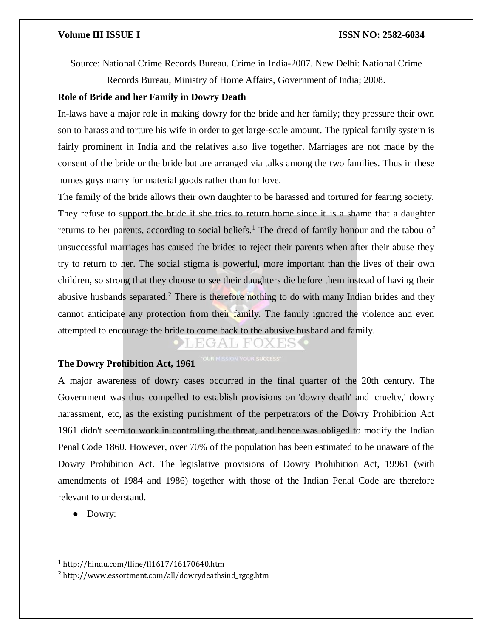Source: National Crime Records Bureau. Crime in India-2007. New Delhi: National Crime

Records Bureau, Ministry of Home Affairs, Government of India; 2008.

### **Role of Bride and her Family in Dowry Death**

In-laws have a major role in making dowry for the bride and her family; they pressure their own son to harass and torture his wife in order to get large-scale amount. The typical family system is fairly prominent in India and the relatives also live together. Marriages are not made by the consent of the bride or the bride but are arranged via talks among the two families. Thus in these homes guys marry for material goods rather than for love.

The family of the bride allows their own daughter to be harassed and tortured for fearing society. They refuse to support the bride if she tries to return home since it is a shame that a daughter returns to her parents, according to social beliefs.<sup>1</sup> The dread of family honour and the tabou of unsuccessful marriages has caused the brides to reject their parents when after their abuse they try to return to her. The social stigma is powerful, more important than the lives of their own children, so strong that they choose to see their daughters die before them instead of having their abusive husbands separated.<sup>2</sup> There is therefore nothing to do with many Indian brides and they cannot anticipate any protection from their family. The family ignored the violence and even attempted to encourage the bride to come back to the abusive husband and family.

### **The Dowry Prohibition Act, 1961**

A major awareness of dowry cases occurred in the final quarter of the 20th century. The Government was thus compelled to establish provisions on 'dowry death' and 'cruelty,' dowry harassment, etc, as the existing punishment of the perpetrators of the Dowry Prohibition Act 1961 didn't seem to work in controlling the threat, and hence was obliged to modify the Indian Penal Code 1860. However, over 70% of the population has been estimated to be unaware of the Dowry Prohibition Act. The legislative provisions of Dowry Prohibition Act, 19961 (with amendments of 1984 and 1986) together with those of the Indian Penal Code are therefore relevant to understand.

● Dowry:

 $\overline{a}$ 

<sup>1</sup> http://hindu.com/fline/fl1617/16170640.htm

<sup>2</sup> http://www.essortment.com/all/dowrydeathsind\_rgcg.htm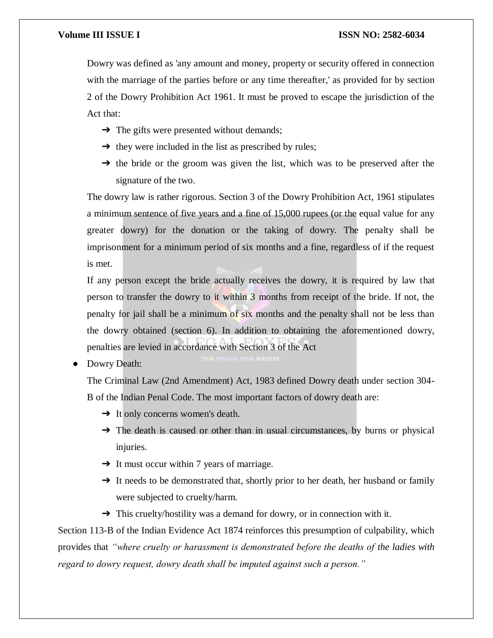Dowry was defined as 'any amount and money, property or security offered in connection with the marriage of the parties before or any time thereafter,' as provided for by section 2 of the Dowry Prohibition Act 1961. It must be proved to escape the jurisdiction of the Act that:

- $\rightarrow$  The gifts were presented without demands;
- $\rightarrow$  they were included in the list as prescribed by rules;
- → the bride or the groom was given the list, which was to be preserved after the signature of the two.

The dowry law is rather rigorous. Section 3 of the Dowry Prohibition Act, 1961 stipulates a minimum sentence of five years and a fine of 15,000 rupees (or the equal value for any greater dowry) for the donation or the taking of dowry. The penalty shall be imprisonment for a minimum period of six months and a fine, regardless of if the request is met.

If any person except the bride actually receives the dowry, it is required by law that person to transfer the dowry to it within 3 months from receipt of the bride. If not, the penalty for jail shall be a minimum of six months and the penalty shall not be less than the dowry obtained (section 6). In addition to obtaining the aforementioned dowry, penalties are levied in accordance with Section 3 of the Act

Dowry Death:

The Criminal Law (2nd Amendment) Act, 1983 defined Dowry death under section 304- B of the Indian Penal Code. The most important factors of dowry death are:

- $\rightarrow$  It only concerns women's death.
- → The death is caused or other than in usual circumstances, by burns or physical injuries.
- $\rightarrow$  It must occur within 7 years of marriage.
- → It needs to be demonstrated that, shortly prior to her death, her husband or family were subjected to cruelty/harm.
- → This cruelty/hostility was a demand for dowry, or in connection with it.

Section 113-B of the Indian Evidence Act 1874 reinforces this presumption of culpability, which provides that *"where cruelty or harassment is demonstrated before the deaths of the ladies with regard to dowry request, dowry death shall be imputed against such a person."*